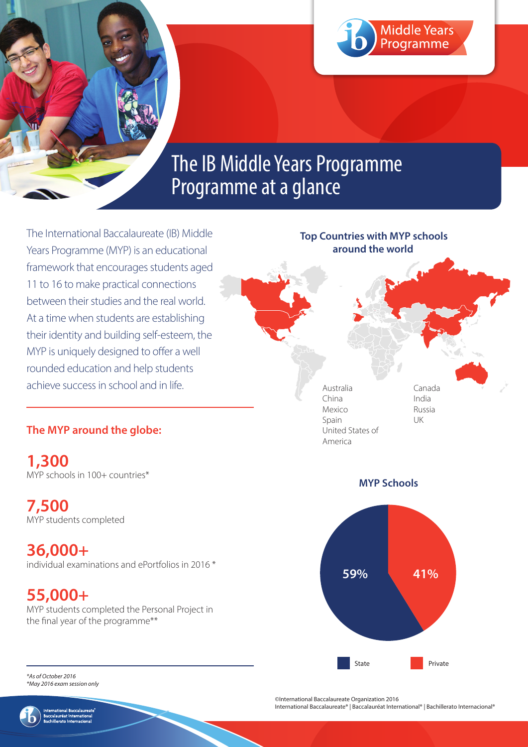

# The IB Middle Years Programme Programme at a glance

The International Baccalaureate (IB) Middle Years Programme (MYP) is an educational framework that encourages students aged 11 to 16 to make practical connections between their studies and the real world. At a time when students are establishing their identity and building self-esteem, the MYP is uniquely designed to offer a well rounded education and help students achieve success in school and in life.

## **The MYP around the globe:**

**1,300** MYP schools in 100+ countries\*

**7,500** MYP students completed

**36,000+** individual examinations and ePortfolios in 2016 \*

# **55,000+**

MYP students completed the Personal Project in the final year of the programme\*\*





*\*As of October 2016 \*May 2016 exam session only*



©International Baccalaureate Organization 2016

International Baccalaureate® | Baccalauréat International® | Bachillerato Internacional®